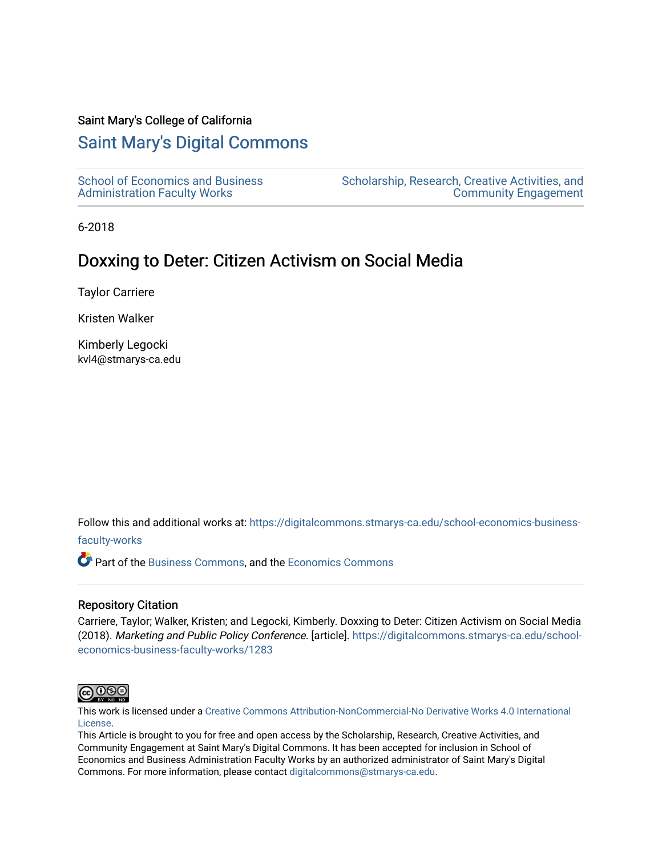## Saint Mary's College of California

## [Saint Mary's Digital Commons](https://digitalcommons.stmarys-ca.edu/)

[School of Economics and Business](https://digitalcommons.stmarys-ca.edu/school-economics-business-faculty-works)  [Administration Faculty Works](https://digitalcommons.stmarys-ca.edu/school-economics-business-faculty-works)

[Scholarship, Research, Creative Activities, and](https://digitalcommons.stmarys-ca.edu/scholarship-research-community)  [Community Engagement](https://digitalcommons.stmarys-ca.edu/scholarship-research-community) 

6-2018

# Doxxing to Deter: Citizen Activism on Social Media

Taylor Carriere

Kristen Walker

Kimberly Legocki kvl4@stmarys-ca.edu

Follow this and additional works at: [https://digitalcommons.stmarys-ca.edu/school-economics-business-](https://digitalcommons.stmarys-ca.edu/school-economics-business-faculty-works?utm_source=digitalcommons.stmarys-ca.edu%2Fschool-economics-business-faculty-works%2F1283&utm_medium=PDF&utm_campaign=PDFCoverPages)

[faculty-works](https://digitalcommons.stmarys-ca.edu/school-economics-business-faculty-works?utm_source=digitalcommons.stmarys-ca.edu%2Fschool-economics-business-faculty-works%2F1283&utm_medium=PDF&utm_campaign=PDFCoverPages) 

Part of the [Business Commons](http://network.bepress.com/hgg/discipline/622?utm_source=digitalcommons.stmarys-ca.edu%2Fschool-economics-business-faculty-works%2F1283&utm_medium=PDF&utm_campaign=PDFCoverPages), and the [Economics Commons](http://network.bepress.com/hgg/discipline/340?utm_source=digitalcommons.stmarys-ca.edu%2Fschool-economics-business-faculty-works%2F1283&utm_medium=PDF&utm_campaign=PDFCoverPages)

## Repository Citation

Carriere, Taylor; Walker, Kristen; and Legocki, Kimberly. Doxxing to Deter: Citizen Activism on Social Media (2018). Marketing and Public Policy Conference. [article]. [https://digitalcommons.stmarys-ca.edu/school](https://digitalcommons.stmarys-ca.edu/school-economics-business-faculty-works/1283?utm_source=digitalcommons.stmarys-ca.edu%2Fschool-economics-business-faculty-works%2F1283&utm_medium=PDF&utm_campaign=PDFCoverPages)[economics-business-faculty-works/1283](https://digitalcommons.stmarys-ca.edu/school-economics-business-faculty-works/1283?utm_source=digitalcommons.stmarys-ca.edu%2Fschool-economics-business-faculty-works%2F1283&utm_medium=PDF&utm_campaign=PDFCoverPages) 



This work is licensed under a [Creative Commons Attribution-NonCommercial-No Derivative Works 4.0 International](https://creativecommons.org/licenses/by-nc-nd/4.0/) [License.](https://creativecommons.org/licenses/by-nc-nd/4.0/)

This Article is brought to you for free and open access by the Scholarship, Research, Creative Activities, and Community Engagement at Saint Mary's Digital Commons. It has been accepted for inclusion in School of Economics and Business Administration Faculty Works by an authorized administrator of Saint Mary's Digital Commons. For more information, please contact [digitalcommons@stmarys-ca.edu](mailto:digitalcommons@stmarys-ca.edu).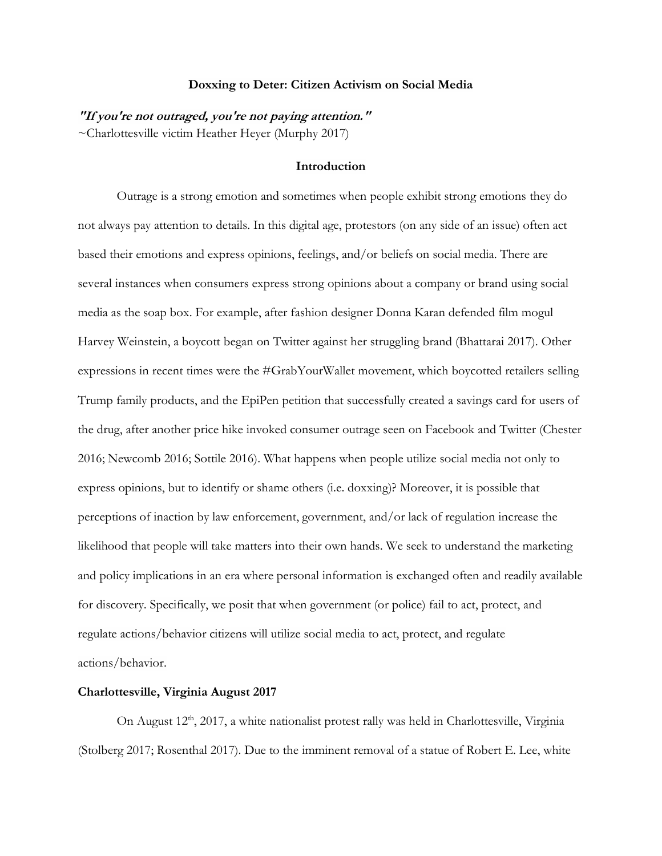#### **Doxxing to Deter: Citizen Activism on Social Media**

**"If you're not outraged, you're not paying attention."** ~Charlottesville victim Heather Heyer (Murphy 2017)

## **Introduction**

Outrage is a strong emotion and sometimes when people exhibit strong emotions they do not always pay attention to details. In this digital age, protestors (on any side of an issue) often act based their emotions and express opinions, feelings, and/or beliefs on social media. There are several instances when consumers express strong opinions about a company or brand using social media as the soap box. For example, after fashion designer Donna Karan defended film mogul Harvey Weinstein, a boycott began on Twitter against her struggling brand (Bhattarai 2017). Other expressions in recent times were the #GrabYourWallet movement, which boycotted retailers selling Trump family products, and the EpiPen petition that successfully created a savings card for users of the drug, after another price hike invoked consumer outrage seen on Facebook and Twitter (Chester 2016; Newcomb 2016; Sottile 2016). What happens when people utilize social media not only to express opinions, but to identify or shame others (i.e. doxxing)? Moreover, it is possible that perceptions of inaction by law enforcement, government, and/or lack of regulation increase the likelihood that people will take matters into their own hands. We seek to understand the marketing and policy implications in an era where personal information is exchanged often and readily available for discovery. Specifically, we posit that when government (or police) fail to act, protect, and regulate actions/behavior citizens will utilize social media to act, protect, and regulate actions/behavior.

### **Charlottesville, Virginia August 2017**

On August 12<sup>th</sup>, 2017, a white nationalist protest rally was held in Charlottesville, Virginia (Stolberg 2017; Rosenthal 2017). Due to the imminent removal of a statue of Robert E. Lee, white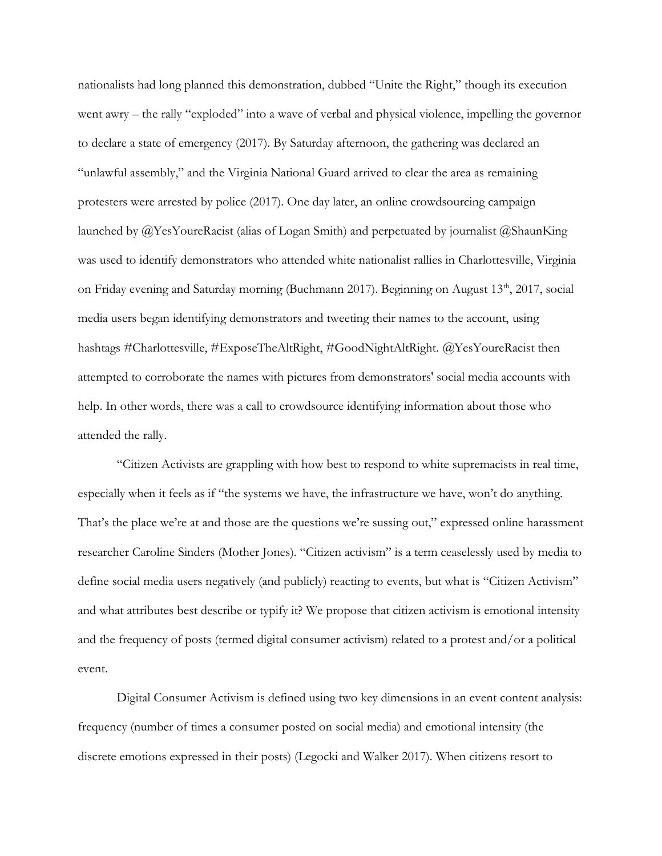nationalists had long planned this demonstration, dubbed "Unite the Right," though its execution went awry – the rally "exploded" into a wave of verbal and physical violence, impelling the governor to declare a state of emergency (2017). By Saturday afternoon, the gathering was declared an "unlawful assembly," and the Virginia National Guard arrived to clear the area as remaining protesters were arrested by police (2017). One day later, an online crowdsourcing campaign launched by @YesYoureRacist (alias of Logan Smith) and perpetuated by journalist @ShaunKing was used to identify demonstrators who attended white nationalist rallies in Charlottesville, Virginia on Friday evening and Saturday morning (Buchmann 2017). Beginning on August 13<sup>th</sup>, 2017, social media users began identifying demonstrators and tweeting their names to the account, using hashtags #Charlottesville, #ExposeTheAltRight, #GoodNightAltRight. @YesYoureRacist then attempted to corroborate the names with pictures from demonstrators' social media accounts with help. In other words, there was a call to crowdsource identifying information about those who attended the rally.

"Citizen Activists are grappling with how best to respond to white supremacists in real time, especially when it feels as if "the systems we have, the infrastructure we have, won't do anything. That's the place we're at and those are the questions we're sussing out," expressed online harassment researcher Caroline Sinders (Mother Jones). "Citizen activism" is a term ceaselessly used by media to define social media users negatively (and publicly) reacting to events, but what is "Citizen Activism" and what attributes best describe or typify it? We propose that citizen activism is emotional intensity and the frequency of posts (termed digital consumer activism) related to a protest and/or a political event.

Digital Consumer Activism is defined using two key dimensions in an event content analysis: frequency (number of times a consumer posted on social media) and emotional intensity (the discrete emotions expressed in their posts) (Legocki and Walker 2017). When citizens resort to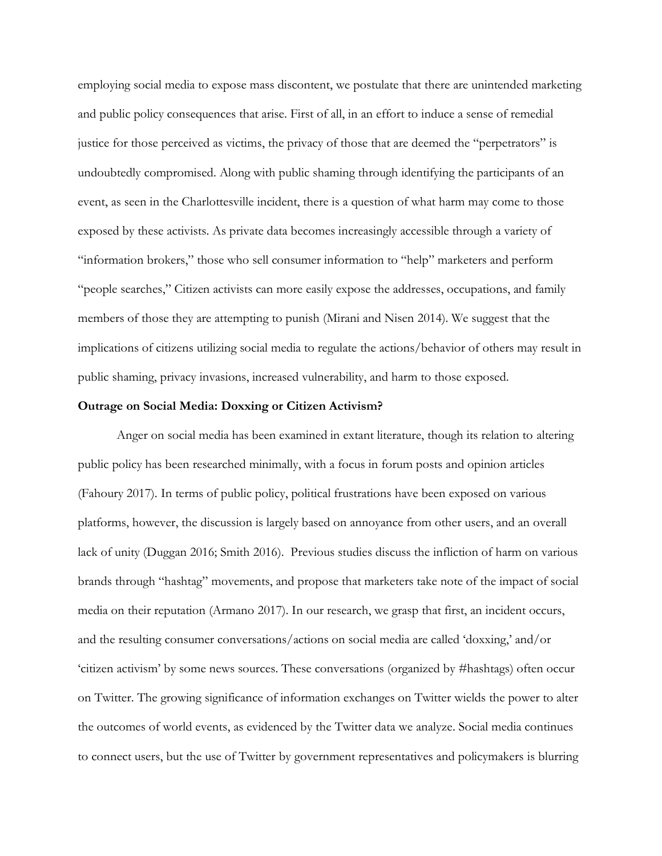employing social media to expose mass discontent, we postulate that there are unintended marketing and public policy consequences that arise. First of all, in an effort to induce a sense of remedial justice for those perceived as victims, the privacy of those that are deemed the "perpetrators" is undoubtedly compromised. Along with public shaming through identifying the participants of an event, as seen in the Charlottesville incident, there is a question of what harm may come to those exposed by these activists. As private data becomes increasingly accessible through a variety of "information brokers," those who sell consumer information to "help" marketers and perform "people searches," Citizen activists can more easily expose the addresses, occupations, and family members of those they are attempting to punish (Mirani and Nisen 2014). We suggest that the implications of citizens utilizing social media to regulate the actions/behavior of others may result in public shaming, privacy invasions, increased vulnerability, and harm to those exposed.

#### **Outrage on Social Media: Doxxing or Citizen Activism?**

Anger on social media has been examined in extant literature, though its relation to altering public policy has been researched minimally, with a focus in forum posts and opinion articles (Fahoury 2017). In terms of public policy, political frustrations have been exposed on various platforms, however, the discussion is largely based on annoyance from other users, and an overall lack of unity (Duggan 2016; Smith 2016). Previous studies discuss the infliction of harm on various brands through "hashtag" movements, and propose that marketers take note of the impact of social media on their reputation (Armano 2017). In our research, we grasp that first, an incident occurs, and the resulting consumer conversations/actions on social media are called 'doxxing,' and/or 'citizen activism' by some news sources. These conversations (organized by #hashtags) often occur on Twitter. The growing significance of information exchanges on Twitter wields the power to alter the outcomes of world events, as evidenced by the Twitter data we analyze. Social media continues to connect users, but the use of Twitter by government representatives and policymakers is blurring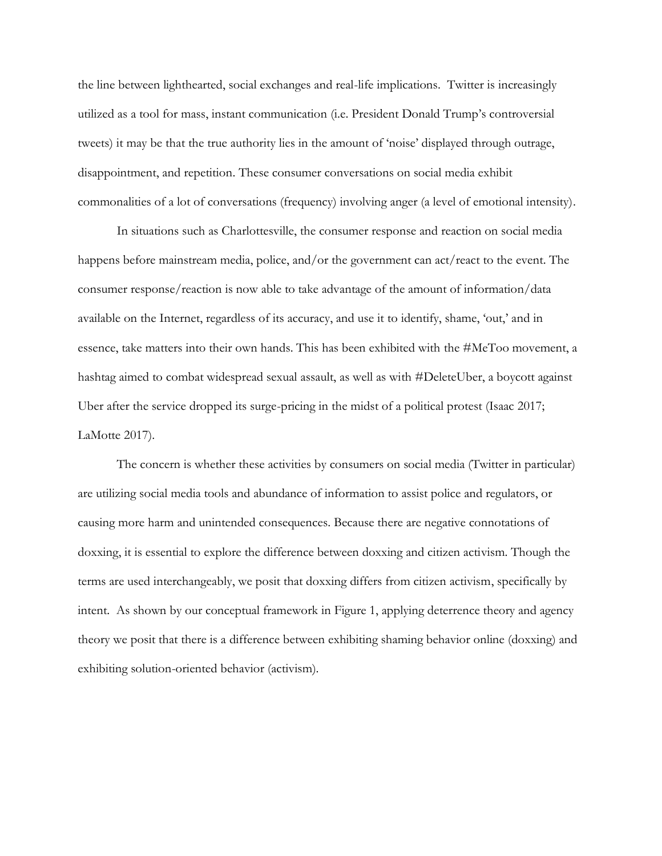the line between lighthearted, social exchanges and real-life implications. Twitter is increasingly utilized as a tool for mass, instant communication (i.e. President Donald Trump's controversial tweets) it may be that the true authority lies in the amount of 'noise' displayed through outrage, disappointment, and repetition. These consumer conversations on social media exhibit commonalities of a lot of conversations (frequency) involving anger (a level of emotional intensity).

In situations such as Charlottesville, the consumer response and reaction on social media happens before mainstream media, police, and/or the government can act/react to the event. The consumer response/reaction is now able to take advantage of the amount of information/data available on the Internet, regardless of its accuracy, and use it to identify, shame, 'out,' and in essence, take matters into their own hands. This has been exhibited with the #MeToo movement, a hashtag aimed to combat widespread sexual assault, as well as with #DeleteUber, a boycott against Uber after the service dropped its surge-pricing in the midst of a political protest (Isaac 2017; LaMotte 2017).

The concern is whether these activities by consumers on social media (Twitter in particular) are utilizing social media tools and abundance of information to assist police and regulators, or causing more harm and unintended consequences. Because there are negative connotations of doxxing, it is essential to explore the difference between doxxing and citizen activism. Though the terms are used interchangeably, we posit that doxxing differs from citizen activism, specifically by intent. As shown by our conceptual framework in Figure 1, applying deterrence theory and agency theory we posit that there is a difference between exhibiting shaming behavior online (doxxing) and exhibiting solution-oriented behavior (activism).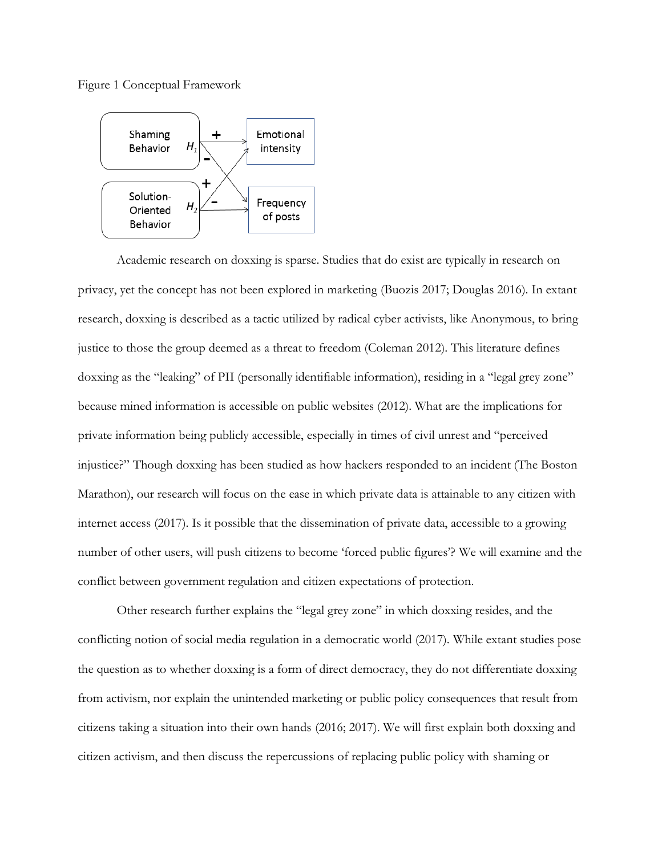Figure 1 Conceptual Framework



Academic research on doxxing is sparse. Studies that do exist are typically in research on privacy, yet the concept has not been explored in marketing (Buozis 2017; Douglas 2016). In extant research, doxxing is described as a tactic utilized by radical cyber activists, like Anonymous, to bring justice to those the group deemed as a threat to freedom (Coleman 2012). This literature defines doxxing as the "leaking" of PII (personally identifiable information), residing in a "legal grey zone" because mined information is accessible on public websites (2012). What are the implications for private information being publicly accessible, especially in times of civil unrest and "perceived injustice?" Though doxxing has been studied as how hackers responded to an incident (The Boston Marathon), our research will focus on the ease in which private data is attainable to any citizen with internet access (2017). Is it possible that the dissemination of private data, accessible to a growing number of other users, will push citizens to become 'forced public figures'? We will examine and the conflict between government regulation and citizen expectations of protection.

Other research further explains the "legal grey zone" in which doxxing resides, and the conflicting notion of social media regulation in a democratic world (2017). While extant studies pose the question as to whether doxxing is a form of direct democracy, they do not differentiate doxxing from activism, nor explain the unintended marketing or public policy consequences that result from citizens taking a situation into their own hands (2016; 2017). We will first explain both doxxing and citizen activism, and then discuss the repercussions of replacing public policy with shaming or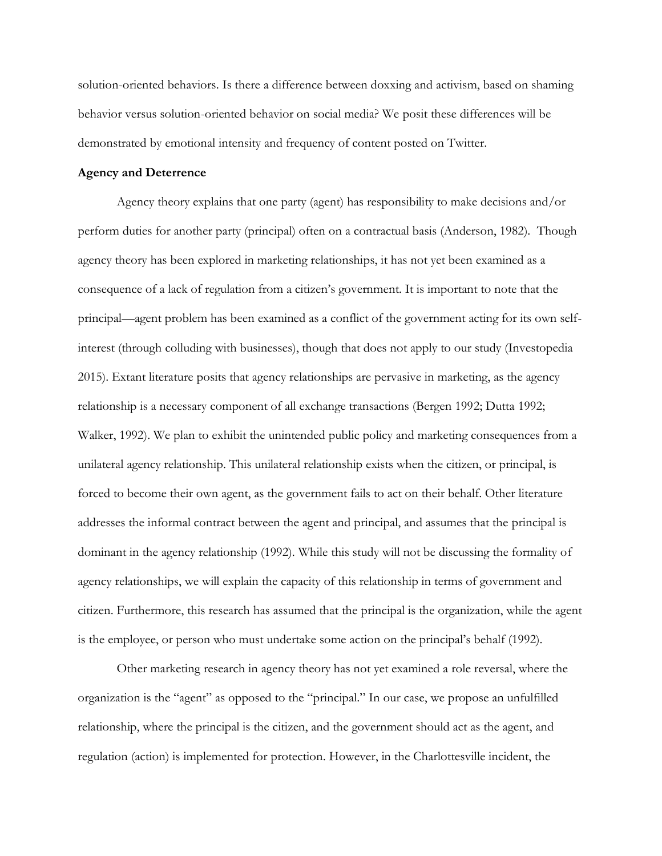solution-oriented behaviors. Is there a difference between doxxing and activism, based on shaming behavior versus solution-oriented behavior on social media? We posit these differences will be demonstrated by emotional intensity and frequency of content posted on Twitter.

## **Agency and Deterrence**

Agency theory explains that one party (agent) has responsibility to make decisions and/or perform duties for another party (principal) often on a contractual basis (Anderson, 1982). Though agency theory has been explored in marketing relationships, it has not yet been examined as a consequence of a lack of regulation from a citizen's government. It is important to note that the principal—agent problem has been examined as a conflict of the government acting for its own selfinterest (through colluding with businesses), though that does not apply to our study (Investopedia 2015). Extant literature posits that agency relationships are pervasive in marketing, as the agency relationship is a necessary component of all exchange transactions (Bergen 1992; Dutta 1992; Walker, 1992). We plan to exhibit the unintended public policy and marketing consequences from a unilateral agency relationship. This unilateral relationship exists when the citizen, or principal, is forced to become their own agent, as the government fails to act on their behalf. Other literature addresses the informal contract between the agent and principal, and assumes that the principal is dominant in the agency relationship (1992). While this study will not be discussing the formality of agency relationships, we will explain the capacity of this relationship in terms of government and citizen. Furthermore, this research has assumed that the principal is the organization, while the agent is the employee, or person who must undertake some action on the principal's behalf (1992).

Other marketing research in agency theory has not yet examined a role reversal, where the organization is the "agent" as opposed to the "principal." In our case, we propose an unfulfilled relationship, where the principal is the citizen, and the government should act as the agent, and regulation (action) is implemented for protection. However, in the Charlottesville incident, the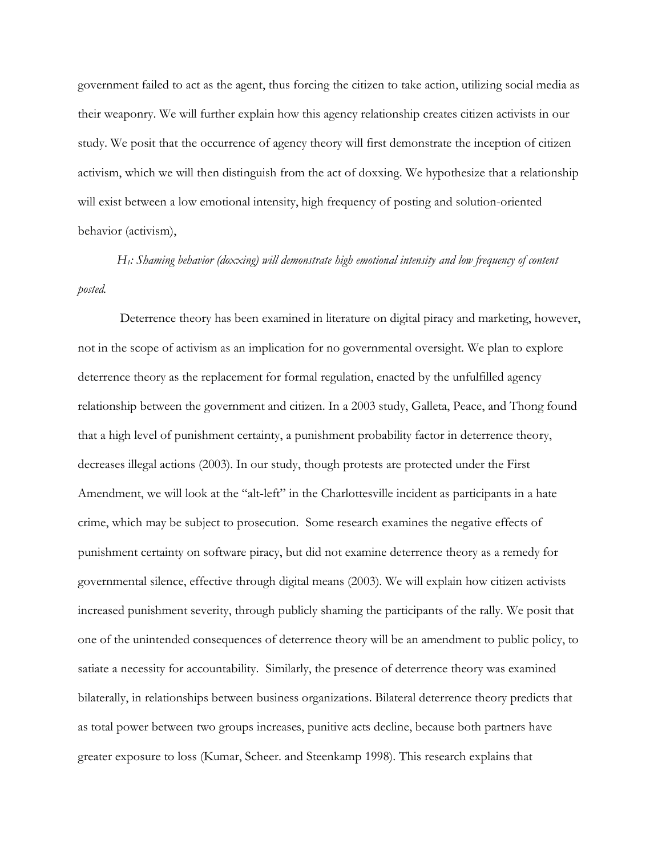government failed to act as the agent, thus forcing the citizen to take action, utilizing social media as their weaponry. We will further explain how this agency relationship creates citizen activists in our study. We posit that the occurrence of agency theory will first demonstrate the inception of citizen activism, which we will then distinguish from the act of doxxing. We hypothesize that a relationship will exist between a low emotional intensity, high frequency of posting and solution-oriented behavior (activism),

*H1: Shaming behavior (doxxing) will demonstrate high emotional intensity and low frequency of content posted.*

Deterrence theory has been examined in literature on digital piracy and marketing, however, not in the scope of activism as an implication for no governmental oversight. We plan to explore deterrence theory as the replacement for formal regulation, enacted by the unfulfilled agency relationship between the government and citizen. In a 2003 study, Galleta, Peace, and Thong found that a high level of punishment certainty, a punishment probability factor in deterrence theory, decreases illegal actions (2003). In our study, though protests are protected under the First Amendment, we will look at the "alt-left" in the Charlottesville incident as participants in a hate crime, which may be subject to prosecution. Some research examines the negative effects of punishment certainty on software piracy, but did not examine deterrence theory as a remedy for governmental silence, effective through digital means (2003). We will explain how citizen activists increased punishment severity, through publicly shaming the participants of the rally. We posit that one of the unintended consequences of deterrence theory will be an amendment to public policy, to satiate a necessity for accountability. Similarly, the presence of deterrence theory was examined bilaterally, in relationships between business organizations. Bilateral deterrence theory predicts that as total power between two groups increases, punitive acts decline, because both partners have greater exposure to loss (Kumar, Scheer. and Steenkamp 1998). This research explains that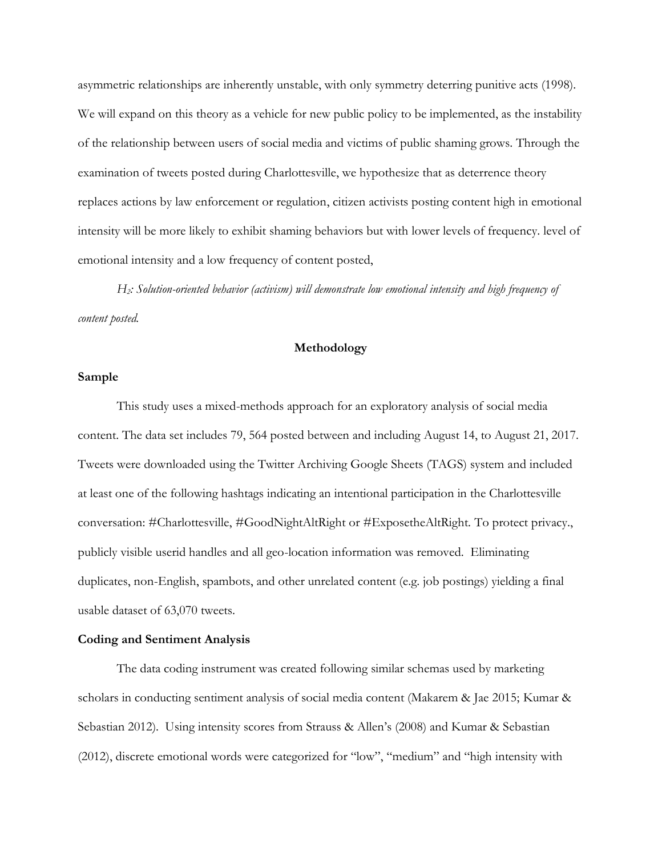asymmetric relationships are inherently unstable, with only symmetry deterring punitive acts (1998). We will expand on this theory as a vehicle for new public policy to be implemented, as the instability of the relationship between users of social media and victims of public shaming grows. Through the examination of tweets posted during Charlottesville, we hypothesize that as deterrence theory replaces actions by law enforcement or regulation, citizen activists posting content high in emotional intensity will be more likely to exhibit shaming behaviors but with lower levels of frequency. level of emotional intensity and a low frequency of content posted,

*H2: Solution-oriented behavior (activism) will demonstrate low emotional intensity and high frequency of content posted.*

## **Methodology**

### **Sample**

This study uses a mixed-methods approach for an exploratory analysis of social media content. The data set includes 79, 564 posted between and including August 14, to August 21, 2017. Tweets were downloaded using the Twitter Archiving Google Sheets (TAGS) system and included at least one of the following hashtags indicating an intentional participation in the Charlottesville conversation: #Charlottesville, #GoodNightAltRight or #ExposetheAltRight. To protect privacy., publicly visible userid handles and all geo-location information was removed. Eliminating duplicates, non-English, spambots, and other unrelated content (e.g. job postings) yielding a final usable dataset of 63,070 tweets.

### **Coding and Sentiment Analysis**

The data coding instrument was created following similar schemas used by marketing scholars in conducting sentiment analysis of social media content (Makarem & Jae 2015; Kumar & Sebastian 2012). Using intensity scores from Strauss & Allen's (2008) and Kumar & Sebastian (2012), discrete emotional words were categorized for "low", "medium" and "high intensity with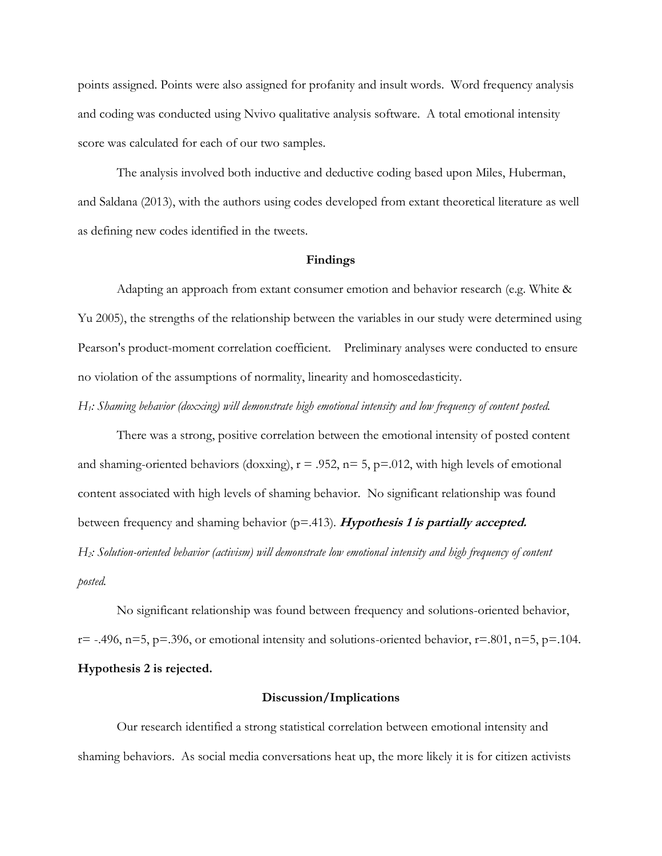points assigned. Points were also assigned for profanity and insult words. Word frequency analysis and coding was conducted using Nvivo qualitative analysis software. A total emotional intensity score was calculated for each of our two samples.

The analysis involved both inductive and deductive coding based upon Miles, Huberman, and Saldana (2013), with the authors using codes developed from extant theoretical literature as well as defining new codes identified in the tweets.

#### **Findings**

Adapting an approach from extant consumer emotion and behavior research (e.g. White & Yu 2005), the strengths of the relationship between the variables in our study were determined using Pearson's product-moment correlation coefficient. Preliminary analyses were conducted to ensure no violation of the assumptions of normality, linearity and homoscedasticity.

*H1: Shaming behavior (doxxing) will demonstrate high emotional intensity and low frequency of content posted.*

There was a strong, positive correlation between the emotional intensity of posted content and shaming-oriented behaviors (doxxing),  $r = .952$ ,  $n = 5$ ,  $p = .012$ , with high levels of emotional content associated with high levels of shaming behavior. No significant relationship was found between frequency and shaming behavior (p=.413). **Hypothesis 1 is partially accepted.** *H2: Solution-oriented behavior (activism) will demonstrate low emotional intensity and high frequency of content posted.*

No significant relationship was found between frequency and solutions-oriented behavior,  $r=-1496$ ,  $n=5$ ,  $p=.396$ , or emotional intensity and solutions-oriented behavior,  $r=.801$ ,  $n=5$ ,  $p=.104$ . **Hypothesis 2 is rejected.**

#### **Discussion/Implications**

Our research identified a strong statistical correlation between emotional intensity and shaming behaviors. As social media conversations heat up, the more likely it is for citizen activists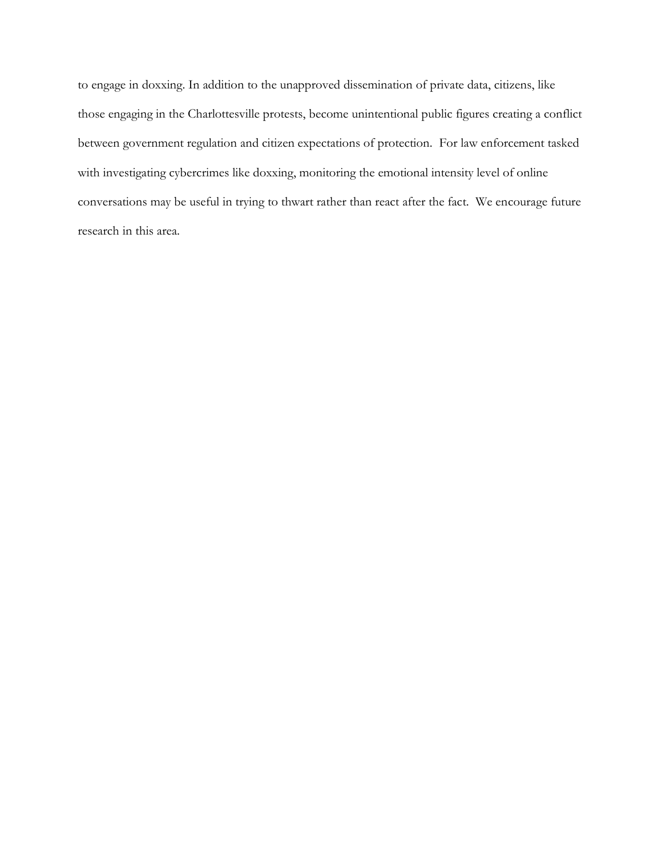to engage in doxxing. In addition to the unapproved dissemination of private data, citizens, like those engaging in the Charlottesville protests, become unintentional public figures creating a conflict between government regulation and citizen expectations of protection. For law enforcement tasked with investigating cybercrimes like doxxing, monitoring the emotional intensity level of online conversations may be useful in trying to thwart rather than react after the fact. We encourage future research in this area.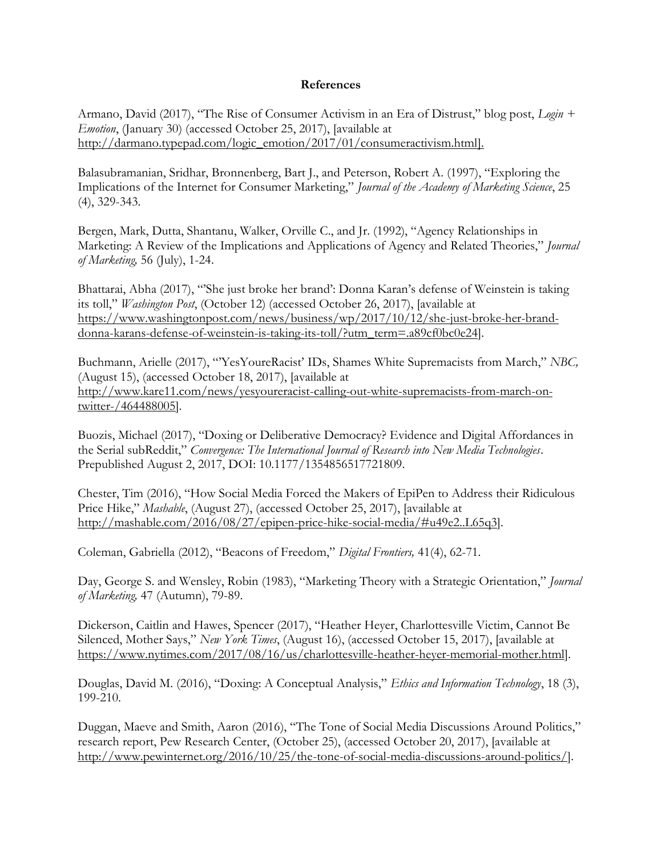## **References**

Armano, David (2017), "The Rise of Consumer Activism in an Era of Distrust," blog post, *Login + Emotion*, (January 30) (accessed October 25, 2017), [available at [http://darmano.typepad.com/logic\\_emotion/2017/01/consumeractivism.html\]](http://darmano.typepad.com/logic_emotion/2017/01/consumeractivism.html).

Balasubramanian, Sridhar, Bronnenberg, Bart J., and Peterson, Robert A. (1997), "Exploring the Implications of the Internet for Consumer Marketing," *Journal of the Academy of Marketing Science*, 25 (4), 329-343.

Bergen, Mark, Dutta, Shantanu, Walker, Orville C., and Jr. (1992), "Agency Relationships in Marketing: A Review of the Implications and Applications of Agency and Related Theories," *Journal of Marketing,* 56 (July), 1-24.

Bhattarai, Abha (2017), "'She just broke her brand': Donna Karan's defense of Weinstein is taking its toll," *Washington Post*, (October 12) (accessed October 26, 2017), [available at [https://www.washingtonpost.com/news/business/wp/2017/10/12/she-just-broke-her-brand](https://www.washingtonpost.com/news/business/wp/2017/10/12/she-just-broke-her-brand-donna-karans-defense-of-weinstein-is-taking-its-toll/?utm_term=.a89cf0bc0e24)[donna-karans-defense-of-weinstein-is-taking-its-toll/?utm\\_term=.a89cf0bc0e24\]](https://www.washingtonpost.com/news/business/wp/2017/10/12/she-just-broke-her-brand-donna-karans-defense-of-weinstein-is-taking-its-toll/?utm_term=.a89cf0bc0e24).

Buchmann, Arielle (2017), "'YesYoureRacist' IDs, Shames White Supremacists from March," *NBC,* (August 15), (accessed October 18, 2017), [available at [http://www.kare11.com/news/yesyoureracist-calling-out-white-supremacists-from-march-on](http://www.kare11.com/news/yesyoureracist-calling-out-white-supremacists-from-march-on-twitter-/464488005)[twitter-/464488005\]](http://www.kare11.com/news/yesyoureracist-calling-out-white-supremacists-from-march-on-twitter-/464488005).

Buozis, Michael (2017), "Doxing or Deliberative Democracy? Evidence and Digital Affordances in the Serial subReddit," *Convergence: The International Journal of Research into New Media Technologies*. Prepublished August 2, 2017, DOI: 10.1177/1354856517721809.

Chester, Tim (2016), "How Social Media Forced the Makers of EpiPen to Address their Ridiculous Price Hike," *Mashable*, (August 27), (accessed October 25, 2017), [available at [http://mashable.com/2016/08/27/epipen-price-hike-social-media/#u49e2..L65q3\]](http://mashable.com/2016/08/27/epipen-price-hike-social-media/#u49e2..L65q3).

Coleman, Gabriella (2012), "Beacons of Freedom," *Digital Frontiers,* 41(4), 62-71.

Day, George S. and Wensley, Robin (1983), "Marketing Theory with a Strategic Orientation," *Journal of Marketing,* 47 (Autumn), 79-89.

Dickerson, Caitlin and Hawes, Spencer (2017), "Heather Heyer, Charlottesville Victim, Cannot Be Silenced, Mother Says," *New York Times*, (August 16), (accessed October 15, 2017), [available at [https://www.nytimes.com/2017/08/16/us/charlottesville-heather-heyer-memorial-mother.html\]](https://www.nytimes.com/2017/08/16/us/charlottesville-heather-heyer-memorial-mother.html).

Douglas, David M. (2016), "Doxing: A Conceptual Analysis," *Ethics and Information Technology*, 18 (3), 199-210.

Duggan, Maeve and Smith, Aaron (2016), "The Tone of Social Media Discussions Around Politics," research report, Pew Research Center, (October 25), (accessed October 20, 2017), [available at [http://www.pewinternet.org/2016/10/25/the-tone-of-social-media-discussions-around-politics/\]](http://www.pewinternet.org/2016/10/25/the-tone-of-social-media-discussions-around-politics/).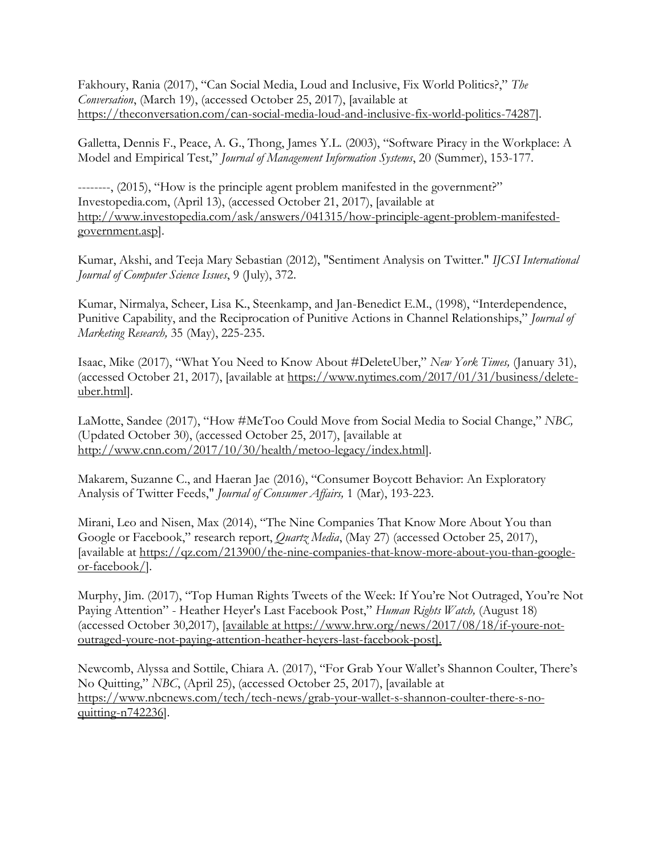Fakhoury, Rania (2017), "Can Social Media, Loud and Inclusive, Fix World Politics?," *The Conversation*, (March 19), (accessed October 25, 2017), [available at [https://theconversation.com/can-social-media-loud-and-inclusive-fix-world-politics-74287\]](https://theconversation.com/can-social-media-loud-and-inclusive-fix-world-politics-74287).

Galletta, Dennis F., Peace, A. G., Thong, James Y.L. (2003), "Software Piracy in the Workplace: A Model and Empirical Test," *Journal of Management Information Systems*, 20 (Summer), 153-177.

--------, (2015), "How is the principle agent problem manifested in the government?" Investopedia.com, (April 13), (accessed October 21, 2017), [available at [http://www.investopedia.com/ask/answers/041315/how-principle-agent-problem-manifested](http://www.investopedia.com/ask/answers/041315/how-principle-agent-problem-manifested-government.asp)[government.asp\]](http://www.investopedia.com/ask/answers/041315/how-principle-agent-problem-manifested-government.asp).

Kumar, Akshi, and Teeja Mary Sebastian (2012), "Sentiment Analysis on Twitter." *IJCSI International Journal of Computer Science Issues*, 9 (July), 372.

Kumar, Nirmalya, Scheer, Lisa K., Steenkamp, and Jan-Benedict E.M., (1998), "Interdependence, Punitive Capability, and the Reciprocation of Punitive Actions in Channel Relationships," *Journal of Marketing Research,* 35 (May), 225-235.

Isaac, Mike (2017), "What You Need to Know About #DeleteUber," *New York Times,* (January 31), (accessed October 21, 2017), [available at [https://www.nytimes.com/2017/01/31/business/delete](https://www.nytimes.com/2017/01/31/business/delete-uber.html)[uber.html\]](https://www.nytimes.com/2017/01/31/business/delete-uber.html).

LaMotte, Sandee (2017), "How #MeToo Could Move from Social Media to Social Change," *NBC,*  (Updated October 30), (accessed October 25, 2017), [available at [http://www.cnn.com/2017/10/30/health/metoo-legacy/index.html\]](http://www.cnn.com/2017/10/30/health/metoo-legacy/index.html).

Makarem, Suzanne C., and Haeran Jae (2016), "Consumer Boycott Behavior: An Exploratory Analysis of Twitter Feeds," *Journal of Consumer Affairs,* 1 (Mar), 193-223.

Mirani, Leo and Nisen, Max (2014), "The Nine Companies That Know More About You than Google or Facebook," research report, *Quartz Media*, (May 27) (accessed October 25, 2017), [available at [https://qz.com/213900/the-nine-companies-that-know-more-about-you-than-google](https://qz.com/213900/the-nine-companies-that-know-more-about-you-than-google-or-facebook/)[or-facebook/\]](https://qz.com/213900/the-nine-companies-that-know-more-about-you-than-google-or-facebook/).

Murphy, Jim. (2017), "Top Human Rights Tweets of the Week: If You're Not Outraged, You're Not Paying Attention" - Heather Heyer's Last Facebook Post," *Human Rights Watch,* (August 18) (accessed October 30,2017), [available at https://www.hrw.org/news/2017/08/18/if-youre-notoutraged-youre-not-paying-attention-heather-heyers-last-facebook-post].

Newcomb, Alyssa and Sottile, Chiara A. (2017), "For Grab Your Wallet's Shannon Coulter, There's No Quitting," *NBC*, (April 25), (accessed October 25, 2017), [available at [https://www.nbcnews.com/tech/tech-news/grab-your-wallet-s-shannon-coulter-there-s-no](https://www.nbcnews.com/tech/tech-news/grab-your-wallet-s-shannon-coulter-there-s-no-quitting-n742236)[quitting-n742236\]](https://www.nbcnews.com/tech/tech-news/grab-your-wallet-s-shannon-coulter-there-s-no-quitting-n742236).